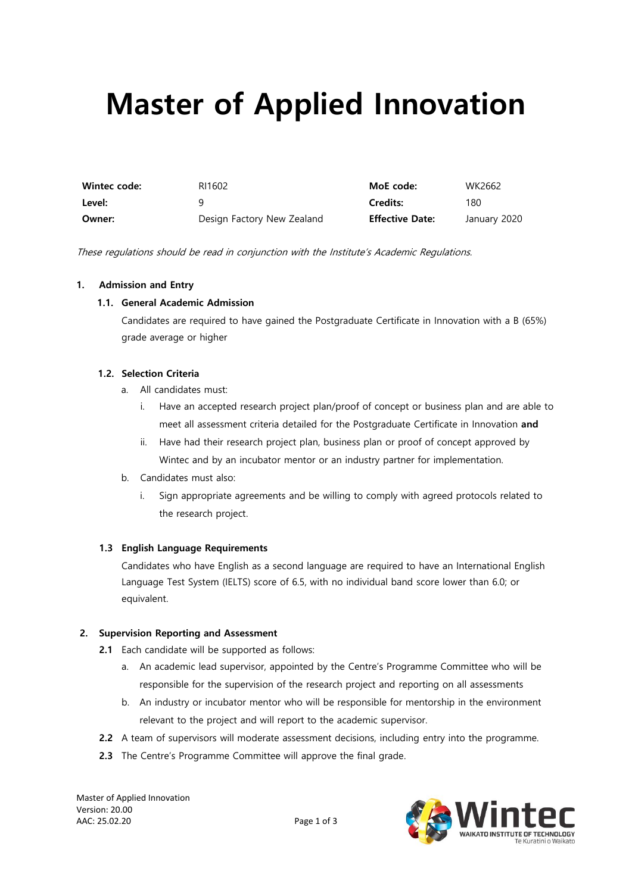# **Master of Applied Innovation**

| Wintec code: | RI1602                     | MoE code:              | WK2662       |
|--------------|----------------------------|------------------------|--------------|
| Level:       |                            | <b>Credits:</b>        | 180          |
| Owner:       | Design Factory New Zealand | <b>Effective Date:</b> | January 2020 |

These regulations should be read in conjunction with the Institute's Academic Regulations.

### **1. Admission and Entry**

#### **1.1. General Academic Admission**

Candidates are required to have gained the Postgraduate Certificate in Innovation with a B (65%) grade average or higher

#### **1.2. Selection Criteria**

- a. All candidates must:
	- i. Have an accepted research project plan/proof of concept or business plan and are able to meet all assessment criteria detailed for the Postgraduate Certificate in Innovation **and**
	- ii. Have had their research project plan, business plan or proof of concept approved by Wintec and by an incubator mentor or an industry partner for implementation.
- b. Candidates must also:
	- i. Sign appropriate agreements and be willing to comply with agreed protocols related to the research project.

### **1.3 English Language Requirements**

Candidates who have English as a second language are required to have an International English Language Test System (IELTS) score of 6.5, with no individual band score lower than 6.0; or equivalent.

## **2. Supervision Reporting and Assessment**

- **2.1** Each candidate will be supported as follows:
	- a. An academic lead supervisor, appointed by the Centre's Programme Committee who will be responsible for the supervision of the research project and reporting on all assessments
	- b. An industry or incubator mentor who will be responsible for mentorship in the environment relevant to the project and will report to the academic supervisor.
- **2.2** A team of supervisors will moderate assessment decisions, including entry into the programme.
- **2.3** The Centre's Programme Committee will approve the final grade.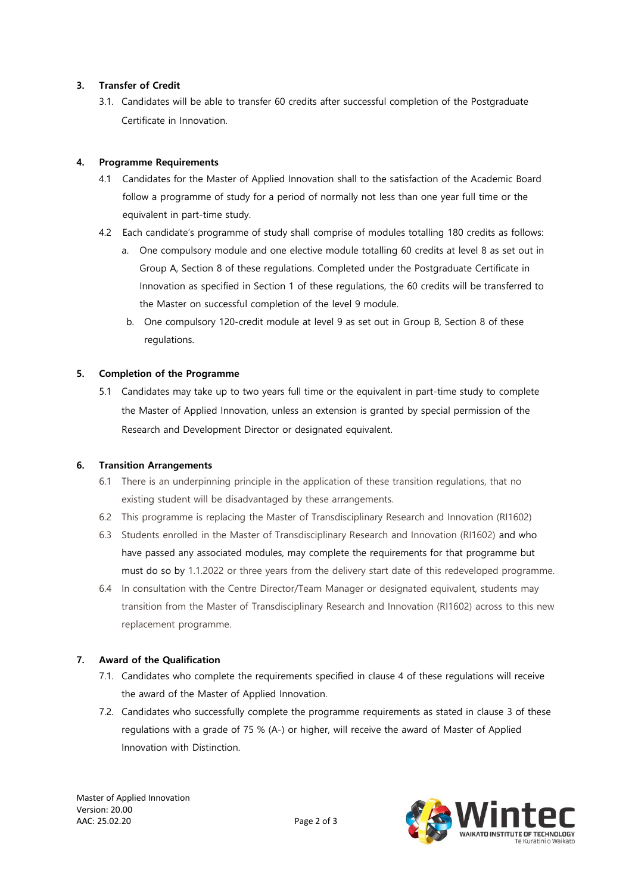# **3. Transfer of Credit**

3.1. Candidates will be able to transfer 60 credits after successful completion of the Postgraduate Certificate in Innovation.

# **4. Programme Requirements**

- 4.1 Candidates for the Master of Applied Innovation shall to the satisfaction of the Academic Board follow a programme of study for a period of normally not less than one year full time or the equivalent in part-time study.
- 4.2 Each candidate's programme of study shall comprise of modules totalling 180 credits as follows:
	- a. One compulsory module and one elective module totalling 60 credits at level 8 as set out in Group A, Section 8 of these regulations. Completed under the Postgraduate Certificate in Innovation as specified in Section 1 of these regulations, the 60 credits will be transferred to the Master on successful completion of the level 9 module.
	- b. One compulsory 120-credit module at level 9 as set out in Group B, Section 8 of these regulations.

# **5. Completion of the Programme**

5.1 Candidates may take up to two years full time or the equivalent in part-time study to complete the Master of Applied Innovation, unless an extension is granted by special permission of the Research and Development Director or designated equivalent.

# **6. Transition Arrangements**

- 6.1 There is an underpinning principle in the application of these transition regulations, that no existing student will be disadvantaged by these arrangements.
- 6.2 This programme is replacing the Master of Transdisciplinary Research and Innovation (RI1602)
- 6.3 Students enrolled in the Master of Transdisciplinary Research and Innovation (RI1602) and who have passed any associated modules, may complete the requirements for that programme but must do so by 1.1.2022 or three years from the delivery start date of this redeveloped programme.
- 6.4 In consultation with the Centre Director/Team Manager or designated equivalent, students may transition from the Master of Transdisciplinary Research and Innovation (RI1602) across to this new replacement programme.

# **7. Award of the Qualification**

- 7.1. Candidates who complete the requirements specified in clause 4 of these regulations will receive the award of the Master of Applied Innovation.
- 7.2. Candidates who successfully complete the programme requirements as stated in clause 3 of these regulations with a grade of 75 % (A-) or higher, will receive the award of Master of Applied Innovation with Distinction.